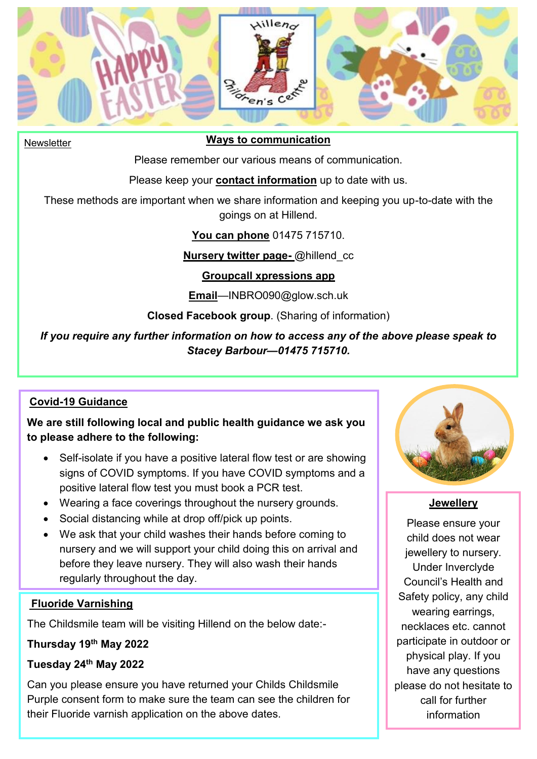

# Newsletter **Ways to communication**

Please remember our various means of communication.

Please keep your **contact information** up to date with us.

These methods are important when we share information and keeping you up-to-date with the goings on at Hillend.

**You can phone** 01475 715710.

**Nursery twitter page-** @hillend\_cc

**Groupcall xpressions app**

**Email**—INBRO090@glow.sch.uk

**Closed Facebook group**. (Sharing of information)

*If you require any further information on how to access any of the above please speak to Stacey Barbour—01475 715710.*

## **Covid-19 Guidance**

**We are still following local and public health guidance we ask you to please adhere to the following:**

- Self-isolate if you have a positive lateral flow test or are showing signs of COVID symptoms. If you have COVID symptoms and a positive lateral flow test you must book a PCR test.
- Wearing a face coverings throughout the nursery grounds.
- Social distancing while at drop off/pick up points.
- We ask that your child washes their hands before coming to nursery and we will support your child doing this on arrival and before they leave nursery. They will also wash their hands regularly throughout the day.

## **Fluoride Varnishing**

The Childsmile team will be visiting Hillend on the below date:-

## **Thursday 19th May 2022**

## **Tuesday 24th May 2022**

Can you please ensure you have returned your Childs Childsmile Purple consent form to make sure the team can see the children for their Fluoride varnish application on the above dates.



## **Jewellery**

Please ensure your child does not wear jewellery to nursery. Under Inverclyde Council's Health and Safety policy, any child wearing earrings, necklaces etc. cannot participate in outdoor or physical play. If you have any questions please do not hesitate to call for further information